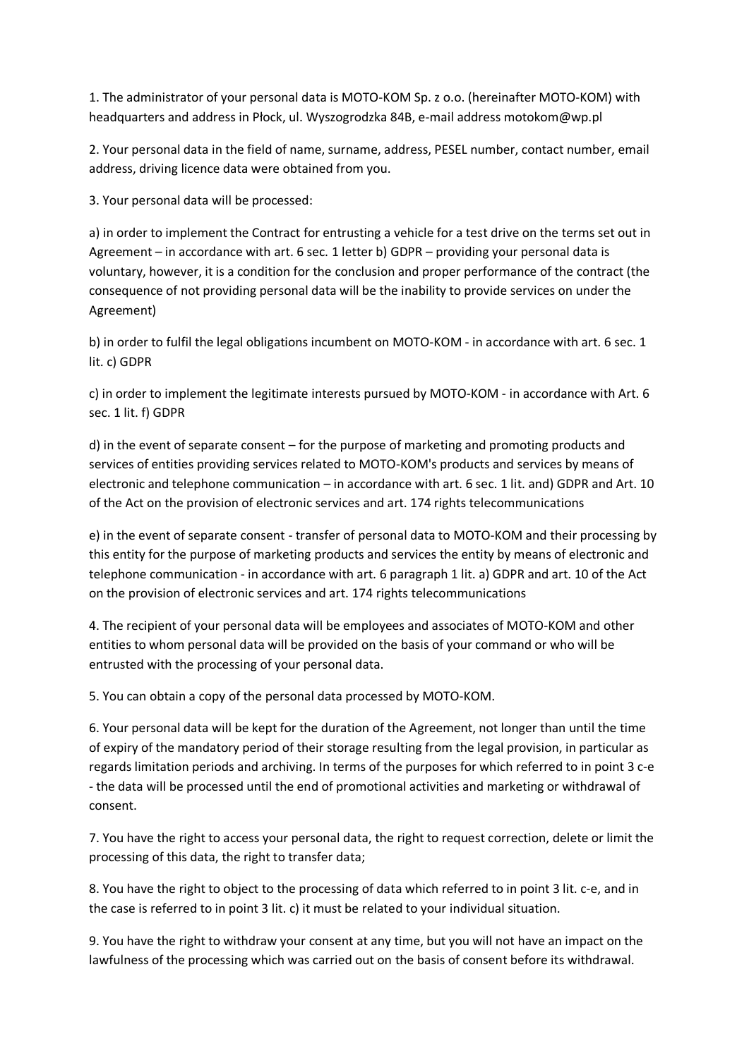1. The administrator of your personal data is MOTO-KOM Sp. z o.o. (hereinafter MOTO-KOM) with headquarters and address in Płock, ul. Wyszogrodzka 84B, e-mail address motokom@wp.pl

2. Your personal data in the field of name, surname, address, PESEL number, contact number, email address, driving licence data were obtained from you.

3. Your personal data will be processed:

a) in order to implement the Contract for entrusting a vehicle for a test drive on the terms set out in Agreement – in accordance with art. 6 sec. 1 letter b) GDPR – providing your personal data is voluntary, however, it is a condition for the conclusion and proper performance of the contract (the consequence of not providing personal data will be the inability to provide services on under the Agreement)

b) in order to fulfil the legal obligations incumbent on MOTO-KOM - in accordance with art. 6 sec. 1 lit. c) GDPR

c) in order to implement the legitimate interests pursued by MOTO-KOM - in accordance with Art. 6 sec. 1 lit. f) GDPR

d) in the event of separate consent – for the purpose of marketing and promoting products and services of entities providing services related to MOTO-KOM's products and services by means of electronic and telephone communication – in accordance with art. 6 sec. 1 lit. and) GDPR and Art. 10 of the Act on the provision of electronic services and art. 174 rights telecommunications

e) in the event of separate consent - transfer of personal data to MOTO-KOM and their processing by this entity for the purpose of marketing products and services the entity by means of electronic and telephone communication - in accordance with art. 6 paragraph 1 lit. a) GDPR and art. 10 of the Act on the provision of electronic services and art. 174 rights telecommunications

4. The recipient of your personal data will be employees and associates of MOTO-KOM and other entities to whom personal data will be provided on the basis of your command or who will be entrusted with the processing of your personal data.

5. You can obtain a copy of the personal data processed by MOTO-KOM.

6. Your personal data will be kept for the duration of the Agreement, not longer than until the time of expiry of the mandatory period of their storage resulting from the legal provision, in particular as regards limitation periods and archiving. In terms of the purposes for which referred to in point 3 c-e - the data will be processed until the end of promotional activities and marketing or withdrawal of consent.

7. You have the right to access your personal data, the right to request correction, delete or limit the processing of this data, the right to transfer data;

8. You have the right to object to the processing of data which referred to in point 3 lit. c-e, and in the case is referred to in point 3 lit. c) it must be related to your individual situation.

9. You have the right to withdraw your consent at any time, but you will not have an impact on the lawfulness of the processing which was carried out on the basis of consent before its withdrawal.